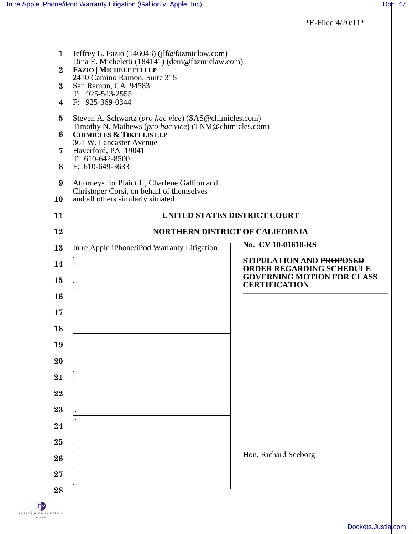|                                                                                        |                                                                                                                                                                                                                                                                                                                                                                                                                      | *E-Filed 4/20/11*                                                                                |  |
|----------------------------------------------------------------------------------------|----------------------------------------------------------------------------------------------------------------------------------------------------------------------------------------------------------------------------------------------------------------------------------------------------------------------------------------------------------------------------------------------------------------------|--------------------------------------------------------------------------------------------------|--|
| $\mathbf{1}$<br>$\overline{2}$<br>$\bf{3}$<br>$\overline{\mathbf{4}}$<br>$\bf{5}$<br>6 | Jeffrey L. Fazio (146043) (jlf@fazmiclaw.com)<br>Dina E. Micheletti (184141) (dem@fazmiclaw.com)<br><b>FAZIO   MICHELETTI LLP</b><br>2410 Camino Ramon, Suite 315<br>San Ramon, CA 94583<br>$T: 925-543-2555$<br>F: 925-369-0344<br>Steven A. Schwartz (pro hac vice) (SAS@chimicles.com)<br>Timothy N. Mathews (pro hac vice) (TNM@chimicles.com)<br><b>CHIMICLES &amp; TIKELLIS LLP</b><br>361 W. Lancaster Avenue |                                                                                                  |  |
| 7<br>8                                                                                 | Haverford, PA 19041<br>T: 610-642-8500                                                                                                                                                                                                                                                                                                                                                                               |                                                                                                  |  |
| 9                                                                                      | F: 610-649-3633<br>Attorneys for Plaintiff, Charlene Gallion and                                                                                                                                                                                                                                                                                                                                                     |                                                                                                  |  |
| 10                                                                                     | Christoper Corsi, on behalf of themselves<br>and all others similarly situated                                                                                                                                                                                                                                                                                                                                       |                                                                                                  |  |
| 11                                                                                     | UNITED STATES DISTRICT COURT                                                                                                                                                                                                                                                                                                                                                                                         |                                                                                                  |  |
| 12                                                                                     |                                                                                                                                                                                                                                                                                                                                                                                                                      | <b>NORTHERN DISTRICT OF CALIFORNIA</b>                                                           |  |
| 13                                                                                     | In re Apple iPhone/iPod Warranty Litigation                                                                                                                                                                                                                                                                                                                                                                          | No. CV 10-01610-RS                                                                               |  |
| 14<br>15                                                                               |                                                                                                                                                                                                                                                                                                                                                                                                                      | STIPULATION AND PROPOSED<br><b>ORDER REGARDING SCHEDULE</b><br><b>GOVERNING MOTION FOR CLASS</b> |  |
| 16                                                                                     |                                                                                                                                                                                                                                                                                                                                                                                                                      | <b>CERTIFICATION</b>                                                                             |  |
| 17                                                                                     |                                                                                                                                                                                                                                                                                                                                                                                                                      |                                                                                                  |  |
| 18                                                                                     |                                                                                                                                                                                                                                                                                                                                                                                                                      |                                                                                                  |  |
| 19                                                                                     |                                                                                                                                                                                                                                                                                                                                                                                                                      |                                                                                                  |  |
| 20                                                                                     |                                                                                                                                                                                                                                                                                                                                                                                                                      |                                                                                                  |  |
| 21                                                                                     |                                                                                                                                                                                                                                                                                                                                                                                                                      |                                                                                                  |  |
| 22                                                                                     |                                                                                                                                                                                                                                                                                                                                                                                                                      |                                                                                                  |  |
| 23                                                                                     |                                                                                                                                                                                                                                                                                                                                                                                                                      |                                                                                                  |  |
| 24                                                                                     |                                                                                                                                                                                                                                                                                                                                                                                                                      |                                                                                                  |  |
| ${\bf 25}$                                                                             |                                                                                                                                                                                                                                                                                                                                                                                                                      | Hon. Richard Seeborg                                                                             |  |
| 26                                                                                     |                                                                                                                                                                                                                                                                                                                                                                                                                      |                                                                                                  |  |
| 27                                                                                     |                                                                                                                                                                                                                                                                                                                                                                                                                      |                                                                                                  |  |
| 28<br>FAZIO MICHE                                                                      |                                                                                                                                                                                                                                                                                                                                                                                                                      | Dockets.Just                                                                                     |  |
|                                                                                        |                                                                                                                                                                                                                                                                                                                                                                                                                      |                                                                                                  |  |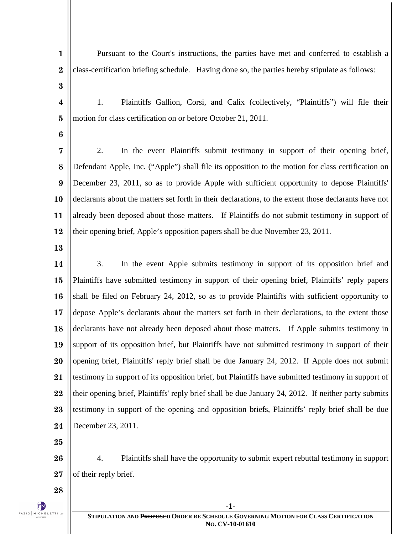| $\mathbf{1}$     | Pursuant to the Court's instructions, the parties have met and conferred to establish a               |  |  |
|------------------|-------------------------------------------------------------------------------------------------------|--|--|
| $\bf{2}$         | class-certification briefing schedule. Having done so, the parties hereby stipulate as follows:       |  |  |
| $\bf{3}$         |                                                                                                       |  |  |
| 4                | Plaintiffs Gallion, Corsi, and Calix (collectively, "Plaintiffs") will file their<br>1.               |  |  |
| $\bf{5}$         | motion for class certification on or before October 21, 2011.                                         |  |  |
| 6                |                                                                                                       |  |  |
| 7                | In the event Plaintiffs submit testimony in support of their opening brief,<br>2.                     |  |  |
| 8                | Defendant Apple, Inc. ("Apple") shall file its opposition to the motion for class certification on    |  |  |
| $\boldsymbol{9}$ | December 23, 2011, so as to provide Apple with sufficient opportunity to depose Plaintiffs'           |  |  |
| 10               | declarants about the matters set forth in their declarations, to the extent those declarants have not |  |  |
| 11               | already been deposed about those matters. If Plaintiffs do not submit testimony in support of         |  |  |
| 12               | their opening brief, Apple's opposition papers shall be due November 23, 2011.                        |  |  |
| 13               |                                                                                                       |  |  |
| 14               | In the event Apple submits testimony in support of its opposition brief and<br>3.                     |  |  |
| 15               | Plaintiffs have submitted testimony in support of their opening brief, Plaintiffs' reply papers       |  |  |
| 16               | shall be filed on February 24, 2012, so as to provide Plaintiffs with sufficient opportunity to       |  |  |
| 17               | depose Apple's declarants about the matters set forth in their declarations, to the extent those      |  |  |
| 18               | declarants have not already been deposed about those matters. If Apple submits testimony in           |  |  |
| 19               | support of its opposition brief, but Plaintiffs have not submitted testimony in support of their      |  |  |
| 20               | opening brief, Plaintiffs' reply brief shall be due January 24, 2012. If Apple does not submit        |  |  |
| 21               | testimony in support of its opposition brief, but Plaintiffs have submitted testimony in support of   |  |  |
| 22               | their opening brief, Plaintiffs' reply brief shall be due January 24, 2012. If neither party submits  |  |  |
| 23               | testimony in support of the opening and opposition briefs, Plaintiffs' reply brief shall be due       |  |  |
| 24               | December 23, 2011.                                                                                    |  |  |
| 25               |                                                                                                       |  |  |
| 26               | Plaintiffs shall have the opportunity to submit expert rebuttal testimony in support<br>4.            |  |  |
| 27               | of their reply brief.                                                                                 |  |  |
| 28               |                                                                                                       |  |  |
|                  | $-1-$                                                                                                 |  |  |

## $\begin{picture}(120,10) \put(0,0){\line(1,0){100}} \put(15,0){\line(1,0){100}} \put(15,0){\line(1,0){100}} \put(15,0){\line(1,0){100}} \put(15,0){\line(1,0){100}} \put(15,0){\line(1,0){100}} \put(15,0){\line(1,0){100}} \put(15,0){\line(1,0){100}} \put(15,0){\line(1,0){100}} \put(15,0){\line(1,0){100}} \put(15,0){\line(1,0){100}}$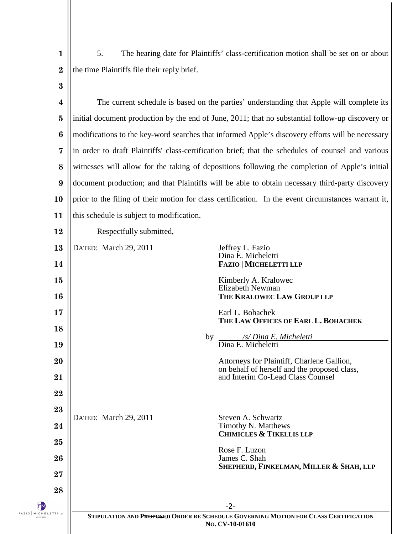**1 2 3** 5. The hearing date for Plaintiffs' class-certification motion shall be set on or about the time Plaintiffs file their reply brief.

| $\overline{\mathbf{4}}$ | The current schedule is based on the parties' understanding that Apple will complete its                        |                                                                                            |  |  |
|-------------------------|-----------------------------------------------------------------------------------------------------------------|--------------------------------------------------------------------------------------------|--|--|
| $\bf{5}$                | initial document production by the end of June, 2011; that no substantial follow-up discovery or                |                                                                                            |  |  |
| $\boldsymbol{6}$        | modifications to the key-word searches that informed Apple's discovery efforts will be necessary                |                                                                                            |  |  |
| $\overline{7}$          | in order to draft Plaintiffs' class-certification brief; that the schedules of counsel and various              |                                                                                            |  |  |
| 8                       | witnesses will allow for the taking of depositions following the completion of Apple's initial                  |                                                                                            |  |  |
| 9                       | document production; and that Plaintiffs will be able to obtain necessary third-party discovery                 |                                                                                            |  |  |
| 10                      | prior to the filing of their motion for class certification. In the event circumstances warrant it,             |                                                                                            |  |  |
| 11                      | this schedule is subject to modification.                                                                       |                                                                                            |  |  |
| 12                      | Respectfully submitted,                                                                                         |                                                                                            |  |  |
| 13                      | DATED: March 29, 2011                                                                                           | Jeffrey L. Fazio<br>Dina E. Micheletti                                                     |  |  |
| 14                      |                                                                                                                 | <b>FAZIO   MICHELETTI LLP</b>                                                              |  |  |
| 15                      |                                                                                                                 | Kimberly A. Kralowec<br><b>Elizabeth Newman</b>                                            |  |  |
| 16                      |                                                                                                                 | THE KRALOWEC LAW GROUP LLP                                                                 |  |  |
| 17                      |                                                                                                                 | Earl L. Bohachek<br>THE LAW OFFICES OF EARL L. BOHACHEK                                    |  |  |
| 18                      | by                                                                                                              | /s/ Dina E. Micheletti                                                                     |  |  |
| 19                      |                                                                                                                 | Dina E. Micheletti                                                                         |  |  |
| 20                      |                                                                                                                 | Attorneys for Plaintiff, Charlene Gallion,<br>on behalf of herself and the proposed class, |  |  |
| 21                      |                                                                                                                 | and Interim Co-Lead Class Counsel                                                          |  |  |
| 22                      |                                                                                                                 |                                                                                            |  |  |
| 23                      | DATED: March 29, 2011                                                                                           | Steven A. Schwartz                                                                         |  |  |
| 24                      |                                                                                                                 | Timothy N. Matthews<br><b>CHIMICLES &amp; TIKELLIS LLP</b>                                 |  |  |
| 25                      |                                                                                                                 | Rose F. Luzon                                                                              |  |  |
| 26                      |                                                                                                                 | James C. Shah<br>SHEPHERD, FINKELMAN, MILLER & SHAH, LLP                                   |  |  |
| 27                      |                                                                                                                 |                                                                                            |  |  |
| 28                      |                                                                                                                 |                                                                                            |  |  |
| ETTI LLP                | $-2-$<br>STIPULATION AND PROPOSED ORDER RE SCHEDULE GOVERNING MOTION FOR CLASS CERTIFICATION<br>No. CV-10-01610 |                                                                                            |  |  |
|                         |                                                                                                                 |                                                                                            |  |  |

FAZIO MICHEL